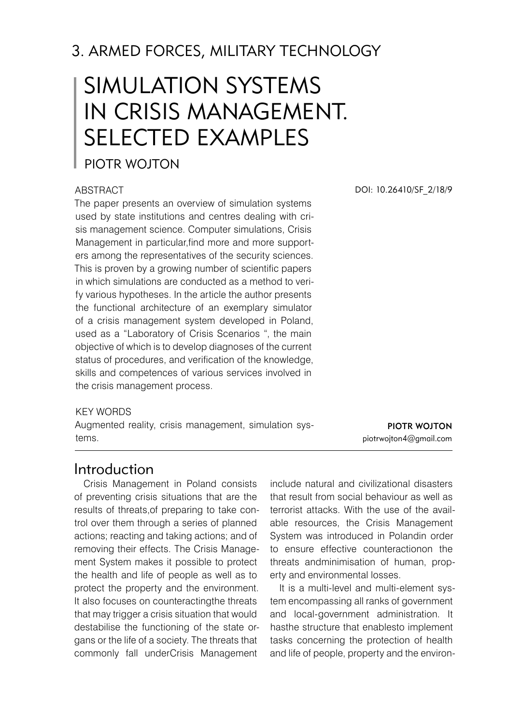# 3. ARMED FORCES, MILITaRY TECHNOLOGY

# Simulation systems in crisis management. Selected examples

### PIOTR WOITON

#### **ABSTRACT**

The paper presents an overview of simulation systems used by state institutions and centres dealing with crisis management science. Computer simulations, Crisis Management in particular,find more and more supporters among the representatives of the security sciences. This is proven by a growing number of scientific papers in which simulations are conducted as a method to verify various hypotheses. In the article the author presents the functional architecture of an exemplary simulator of a crisis management system developed in Poland, used as a "Laboratory of Crisis Scenarios ", the main objective of which is to develop diagnoses of the current status of procedures, and verification of the knowledge, skills and competences of various services involved in the crisis management process.

#### KFY WORDS

Augmented reality, crisis management, simulation systems.

DOI: 10.26410/SF\_2/18/9

Piotr Wojton piotrwojton4@gmail.com

### Introduction

Crisis Management in Poland consists of preventing crisis situations that are the results of threats,of preparing to take control over them through a series of planned actions; reacting and taking actions; and of removing their effects. The Crisis Management System makes it possible to protect the health and life of people as well as to protect the property and the environment. It also focuses on counteractingthe threats that may trigger a crisis situation that would destabilise the functioning of the state organs or the life of a society. The threats that commonly fall underCrisis Management

include natural and civilizational disasters that result from social behaviour as well as terrorist attacks. With the use of the available resources, the Crisis Management System was introduced in Polandin order to ensure effective counteractionon the threats andminimisation of human, property and environmental losses.

It is a multi-level and multi-element system encompassing all ranks of government and local-government administration. It hasthe structure that enablesto implement tasks concerning the protection of health and life of people, property and the environ-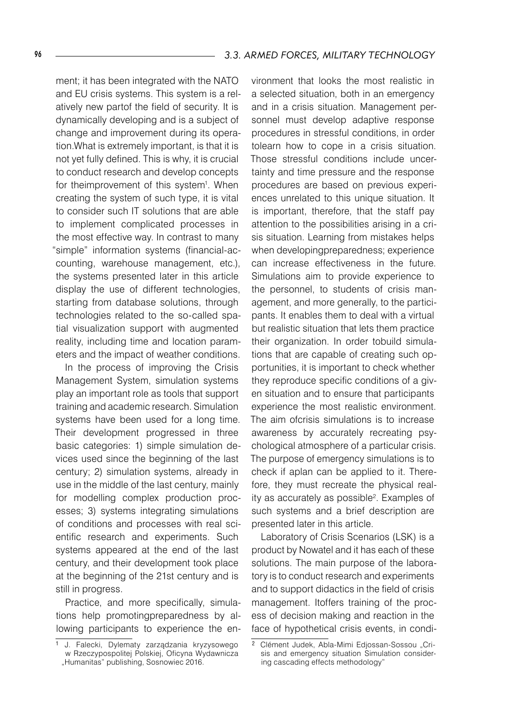ment; it has been integrated with the NATO and EU crisis systems. This system is a relatively new partof the field of security. It is dynamically developing and is a subject of change and improvement during its operation.What is extremely important, is that it is not yet fully defined. This is why, it is crucial to conduct research and develop concepts for theimprovement of this system<sup>1</sup>. When creating the system of such type, it is vital to consider such IT solutions that are able to implement complicated processes in the most effective way. In contrast to many "simple" information systems (financial-accounting, warehouse management, etc.), the systems presented later in this article display the use of different technologies, starting from database solutions, through technologies related to the so-called spatial visualization support with augmented reality, including time and location parameters and the impact of weather conditions.

In the process of improving the Crisis Management System, simulation systems play an important role as tools that support training and academic research. Simulation systems have been used for a long time. Their development progressed in three basic categories: 1) simple simulation devices used since the beginning of the last century; 2) simulation systems, already in use in the middle of the last century, mainly for modelling complex production processes; 3) systems integrating simulations of conditions and processes with real scientific research and experiments. Such systems appeared at the end of the last century, and their development took place at the beginning of the 21st century and is still in progress.

Practice, and more specifically, simulations help promotingpreparedness by allowing participants to experience the en-

vironment that looks the most realistic in a selected situation, both in an emergency and in a crisis situation. Management personnel must develop adaptive response procedures in stressful conditions, in order tolearn how to cope in a crisis situation. Those stressful conditions include uncertainty and time pressure and the response procedures are based on previous experiences unrelated to this unique situation. It is important, therefore, that the staff pay attention to the possibilities arising in a crisis situation. Learning from mistakes helps when developingpreparedness; experience can increase effectiveness in the future. Simulations aim to provide experience to the personnel, to students of crisis management, and more generally, to the participants. It enables them to deal with a virtual but realistic situation that lets them practice their organization. In order tobuild simulations that are capable of creating such opportunities, it is important to check whether they reproduce specific conditions of a given situation and to ensure that participants experience the most realistic environment. The aim ofcrisis simulations is to increase awareness by accurately recreating psychological atmosphere of a particular crisis. The purpose of emergency simulations is to check if aplan can be applied to it. Therefore, they must recreate the physical reality as accurately as possible<sup>2</sup> . Examples of such systems and a brief description are presented later in this article.

Laboratory of Crisis Scenarios (LSK) is a product by Nowatel and it has each of these solutions. The main purpose of the laboratory is to conduct research and experiments and to support didactics in the field of crisis management. Itoffers training of the process of decision making and reaction in the face of hypothetical crisis events, in condi-

<sup>1</sup> J. Falecki, Dylematy zarządzania kryzysowego w Rzeczypospolitej Polskiej, Oficyna Wydawnicza "Humanitas" publishing, Sosnowiec 2016.

<sup>&</sup>lt;sup>2</sup> Clément Judek, Abla-Mimi Edjossan-Sossou "Crisis and emergency situation Simulation considering cascading effects methodology"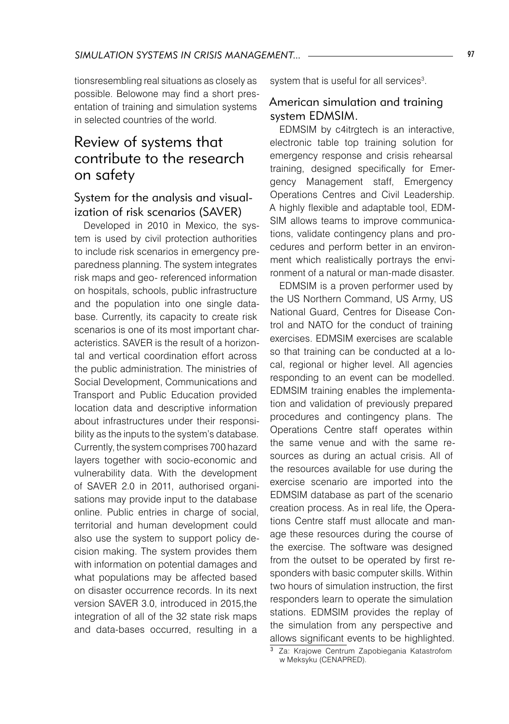tionsresembling real situations as closely as possible. Belowone may find a short presentation of training and simulation systems in selected countries of the world.

# Review of systems that contribute to the research on safety

### System for the analysis and visualization of risk scenarios (SAVER)

Developed in 2010 in Mexico, the system is used by civil protection authorities to include risk scenarios in emergency preparedness planning. The system integrates risk maps and geo- referenced information on hospitals, schools, public infrastructure and the population into one single database. Currently, its capacity to create risk scenarios is one of its most important characteristics. SAVER is the result of a horizontal and vertical coordination effort across the public administration. The ministries of Social Development, Communications and Transport and Public Education provided location data and descriptive information about infrastructures under their responsibility as the inputs to the system's database. Currently, the system comprises 700 hazard layers together with socio-economic and vulnerability data. With the development of SAVER 2.0 in 2011, authorised organisations may provide input to the database online. Public entries in charge of social, territorial and human development could also use the system to support policy decision making. The system provides them with information on potential damages and what populations may be affected based on disaster occurrence records. In its next version SAVER 3.0, introduced in 2015,the integration of all of the 32 state risk maps and data-bases occurred, resulting in a

system that is useful for all services $^3$ .

### American simulation and training system EDMSIM.

EDMSIM by c4itratech is an interactive. electronic table top training solution for emergency response and crisis rehearsal training, designed specifically for Emergency Management staff, Emergency Operations Centres and Civil Leadership. A highly flexible and adaptable tool, EDM-SIM allows teams to improve communications, validate contingency plans and procedures and perform better in an environment which realistically portrays the environment of a natural or man-made disaster.

EDMSIM is a proven performer used by the US Northern Command, US Army, US National Guard, Centres for Disease Control and NATO for the conduct of training exercises. EDMSIM exercises are scalable so that training can be conducted at a local, regional or higher level. All agencies responding to an event can be modelled. EDMSIM training enables the implementation and validation of previously prepared procedures and contingency plans. The Operations Centre staff operates within the same venue and with the same resources as during an actual crisis. All of the resources available for use during the exercise scenario are imported into the EDMSIM database as part of the scenario creation process. As in real life, the Operations Centre staff must allocate and manage these resources during the course of the exercise. The software was designed from the outset to be operated by first responders with basic computer skills. Within two hours of simulation instruction, the first responders learn to operate the simulation stations. EDMSIM provides the replay of the simulation from any perspective and allows significant events to be highlighted.

Za: Krajowe Centrum Zapobiegania Katastrofom w Meksyku (CENAPRED).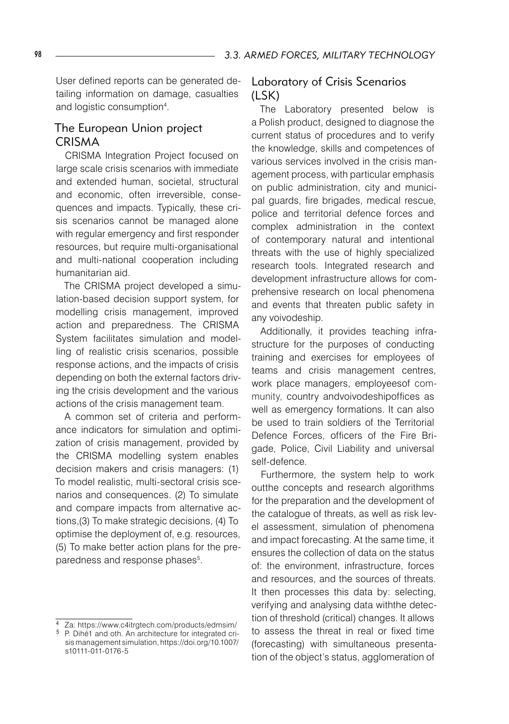User defined reports can be generated detailing information on damage, casualties and logistic consumption<sup>4</sup> .

### The European Union project **CRISMA**

CRISMA Integration Project focused on large scale crisis scenarios with immediate and extended human, societal, structural and economic, often irreversible, consequences and impacts. Typically, these crisis scenarios cannot be managed alone with regular emergency and first responder resources, but require multi-organisational and multi-national cooperation including humanitarian aid.

The CRISMA project developed a simulation-based decision support system, for modelling crisis management, improved action and preparedness. The CRISMA System facilitates simulation and modelling of realistic crisis scenarios, possible response actions, and the impacts of crisis depending on both the external factors driving the crisis development and the various actions of the crisis management team.

A common set of criteria and performance indicators for simulation and optimization of crisis management, provided by the CRISMA modelling system enables decision makers and crisis managers: (1) To model realistic, multi-sectoral crisis scenarios and consequences. (2) To simulate and compare impacts from alternative actions,(3) To make strategic decisions, (4) To optimise the deployment of, e.g. resources, (5) To make better action plans for the preparedness and response phases<sup>5</sup>.

### Laboratory of Crisis Scenarios (LSK)

The Laboratory presented below is a Polish product, designed to diagnose the current status of procedures and to verify the knowledge, skills and competences of various services involved in the crisis management process, with particular emphasis on public administration, city and municipal guards, fire brigades, medical rescue, police and territorial defence forces and complex administration in the context of contemporary natural and intentional threats with the use of highly specialized research tools. Integrated research and development infrastructure allows for comprehensive research on local phenomena and events that threaten public safety in any voivodeship.

Additionally, it provides teaching infrastructure for the purposes of conducting training and exercises for employees of teams and crisis management centres, work place managers, employeesof community, country andvoivodeshipoffices as well as emergency formations. It can also be used to train soldiers of the Territorial Defence Forces, officers of the Fire Brigade, Police, Civil Liability and universal self-defence.

Furthermore, the system help to work outthe concepts and research algorithms for the preparation and the development of the catalogue of threats, as well as risk level assessment, simulation of phenomena and impact forecasting. At the same time, it ensures the collection of data on the status of: the environment, infrastructure, forces and resources, and the sources of threats. It then processes this data by: selecting, verifying and analysing data withthe detection of threshold (critical) changes. It allows to assess the threat in real or fixed time (forecasting) with simultaneous presentation of the object's status, agglomeration of

Za: https://www.c4itrgtech.com/products/edmsim/

<sup>&</sup>lt;sup>5</sup> P. Dihé1 and oth. An architecture for integrated crisis management simulation, https://doi.org/10.1007/ s10111-011-0176-5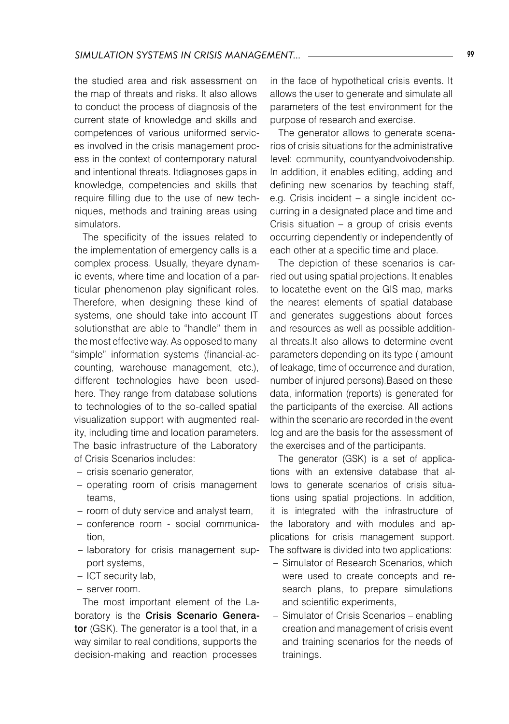the studied area and risk assessment on the map of threats and risks. It also allows to conduct the process of diagnosis of the current state of knowledge and skills and competences of various uniformed services involved in the crisis management process in the context of contemporary natural and intentional threats. Itdiagnoses gaps in knowledge, competencies and skills that require filling due to the use of new techniques, methods and training areas using simulators.

The specificity of the issues related to the implementation of emergency calls is a complex process. Usually, theyare dynamic events, where time and location of a particular phenomenon play significant roles. Therefore, when designing these kind of systems, one should take into account IT solutionsthat are able to "handle" them in the most effective way. As opposed to many "simple" information systems (financial-accounting, warehouse management, etc.), different technologies have been usedhere. They range from database solutions to technologies of to the so-called spatial visualization support with augmented reality, including time and location parameters. The basic infrastructure of the Laboratory of Crisis Scenarios includes:

- crisis scenario generator,
- operating room of crisis management teams,
- room of duty service and analyst team,
- conference room social communica-– tion,
- laboratory for crisis management support systems,
- ICT security lab,
- server room.

The most important element of the Laboratory is the Crisis Scenario Generator (GSK). The generator is a tool that, in a way similar to real conditions, supports the decision-making and reaction processes

in the face of hypothetical crisis events. It allows the user to generate and simulate all parameters of the test environment for the purpose of research and exercise.

The generator allows to generate scenarios of crisis situations for the administrative level: community, countyandvoivodenship. In addition, it enables editing, adding and defining new scenarios by teaching staff, e.g. Crisis incident – a single incident occurring in a designated place and time and Crisis situation – a group of crisis events occurring dependently or independently of each other at a specific time and place.

The depiction of these scenarios is carried out using spatial projections. It enables to locatethe event on the GIS map, marks the nearest elements of spatial database and generates suggestions about forces and resources as well as possible additional threats.It also allows to determine event parameters depending on its type ( amount of leakage, time of occurrence and duration, number of injured persons).Based on these data, information (reports) is generated for the participants of the exercise. All actions within the scenario are recorded in the event log and are the basis for the assessment of the exercises and of the participants.

The generator (GSK) is a set of applications with an extensive database that allows to generate scenarios of crisis situations using spatial projections. In addition, it is integrated with the infrastructure of the laboratory and with modules and applications for crisis management support. The software is divided into two applications:

- Simulator of Research Scenarios, which were used to create concepts and research plans, to prepare simulations and scientific experiments,
- Simulator of Crisis Scenarios enabling creation and management of crisis event and training scenarios for the needs of trainings.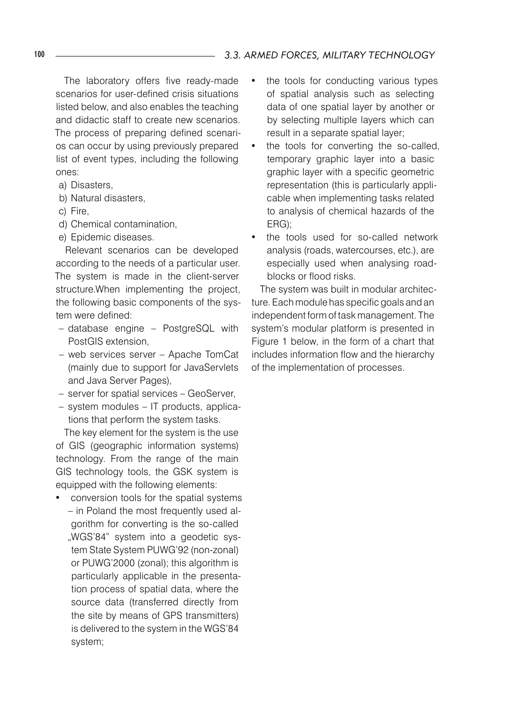The laboratory offers five ready-made scenarios for user-defined crisis situations listed below, and also enables the teaching and didactic staff to create new scenarios. The process of preparing defined scenarios can occur by using previously prepared list of event types, including the following ones:

- a) Disasters,
- b) Natural disasters,
- c) Fire,
- d) Chemical contamination,
- e) Epidemic diseases.

Relevant scenarios can be developed according to the needs of a particular user. The system is made in the client-server structure.When implementing the project, the following basic components of the system were defined:

- database engine PostgreSQL with PostGIS extension,
- web services server Apache TomCat (mainly due to support for JavaServlets and Java Server Pages),
- server for spatial services GeoServer,
- system modules IT products, applications that perform the system tasks.

The key element for the system is the use of GIS (geographic information systems) technology. From the range of the main GIS technology tools, the GSK system is equipped with the following elements:

• conversion tools for the spatial systems – in Poland the most frequently used algorithm for converting is the so-called "WGS'84" system into a geodetic system State System PUWG'92 (non-zonal) or PUWG'2000 (zonal); this algorithm is particularly applicable in the presentation process of spatial data, where the source data (transferred directly from the site by means of GPS transmitters) is delivered to the system in the WGS'84 system;

- the tools for conducting various types of spatial analysis such as selecting data of one spatial layer by another or by selecting multiple layers which can result in a separate spatial layer;
- the tools for converting the so-called, temporary graphic layer into a basic graphic layer with a specific geometric representation (this is particularly applicable when implementing tasks related to analysis of chemical hazards of the ERG);
- the tools used for so-called network analysis (roads, watercourses, etc.), are especially used when analysing roadblocks or flood risks.

The system was built in modular architecture. Each module has specific goals and an independent form of task management. The system's modular platform is presented in Figure 1 below, in the form of a chart that includes information flow and the hierarchy of the implementation of processes.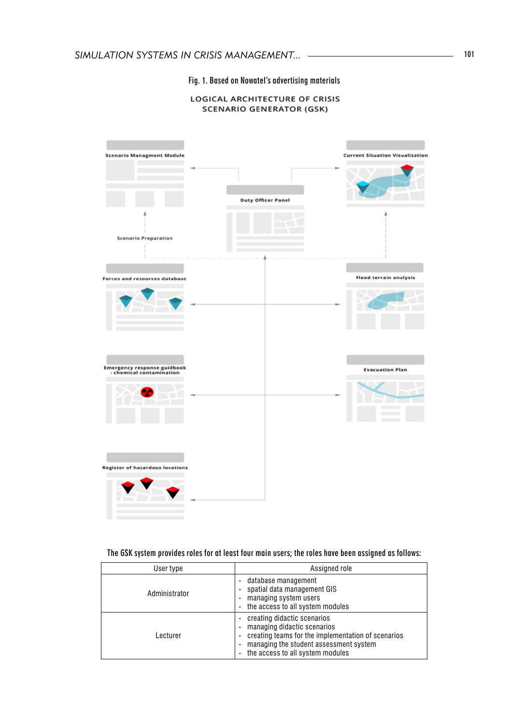#### Fig. 1. Based on Nowatel's advertising materials

#### **LOGICAL ARCHITECTURE OF CRISIS SCENARIO GENERATOR (GSK)**



#### The GSK system provides roles for at least four main users; the roles have been assigned as follows:

| User type     | Assigned role                                                                                                                                                                                  |
|---------------|------------------------------------------------------------------------------------------------------------------------------------------------------------------------------------------------|
| Administrator | database management<br>spatial data management GIS<br>managing system users<br>the access to all system modules                                                                                |
| Lecturer      | creating didactic scenarios<br>managing didactic scenarios<br>creating teams for the implementation of scenarios<br>managing the student assessment system<br>the access to all system modules |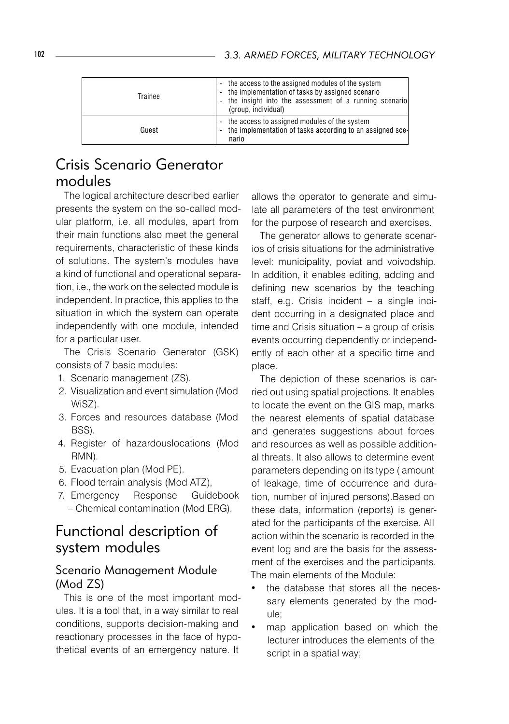| Trainee | the access to the assigned modules of the system<br>٠<br>the implementation of tasks by assigned scenario<br>٠<br>the insight into the assessment of a running scenario<br>٠<br>(group, individual) |
|---------|-----------------------------------------------------------------------------------------------------------------------------------------------------------------------------------------------------|
| Guest   | the access to assigned modules of the system<br>$\overline{\phantom{a}}$<br>the implementation of tasks according to an assigned sce-<br>٠<br>nario                                                 |

# Crisis Scenario Generator modules

The logical architecture described earlier presents the system on the so-called modular platform, i.e. all modules, apart from their main functions also meet the general requirements, characteristic of these kinds of solutions. The system's modules have a kind of functional and operational separation, i.e., the work on the selected module is independent. In practice, this applies to the situation in which the system can operate independently with one module, intended for a particular user.

The Crisis Scenario Generator (GSK) consists of 7 basic modules:

- 1. Scenario management (ZS).
- 2. Visualization and event simulation (Mod WiSZ).
- 3. Forces and resources database (Mod BSS).
- 4. Register of hazardouslocations (Mod RMN).
- 5. Evacuation plan (Mod PE).
- 6. Flood terrain analysis (Mod ATZ),
- 7. Emergency Response Guidebook – Chemical contamination (Mod ERG).

### Functional description of system modules

### Scenario Management Module (Mod ZS)

This is one of the most important modules. It is a tool that, in a way similar to real conditions, supports decision-making and reactionary processes in the face of hypothetical events of an emergency nature. It

allows the operator to generate and simulate all parameters of the test environment for the purpose of research and exercises.

The generator allows to generate scenarios of crisis situations for the administrative level: municipality, poviat and voivodship. In addition, it enables editing, adding and defining new scenarios by the teaching staff, e.g. Crisis incident – a single incident occurring in a designated place and time and Crisis situation – a group of crisis events occurring dependently or independently of each other at a specific time and place.

The depiction of these scenarios is carried out using spatial projections. It enables to locate the event on the GIS map, marks the nearest elements of spatial database and generates suggestions about forces and resources as well as possible additional threats. It also allows to determine event parameters depending on its type ( amount of leakage, time of occurrence and duration, number of injured persons).Based on these data, information (reports) is generated for the participants of the exercise. All action within the scenario is recorded in the event log and are the basis for the assessment of the exercises and the participants. The main elements of the Module:

- the database that stores all the necessary elements generated by the module;
- map application based on which the lecturer introduces the elements of the script in a spatial way;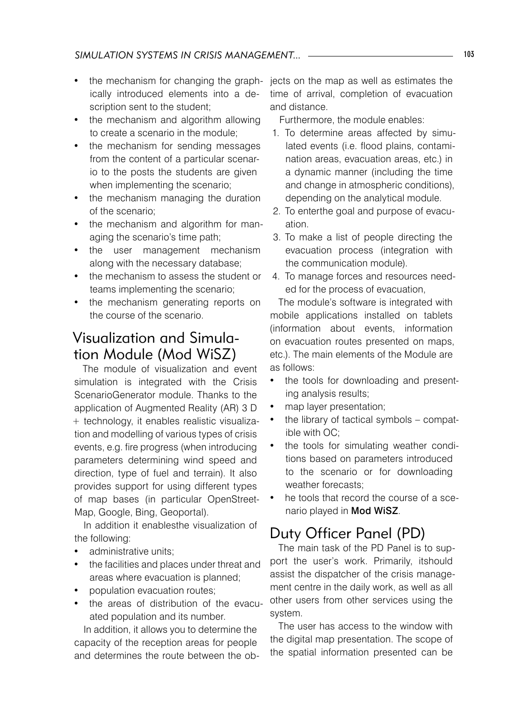- the mechanism for changing the graph- jects on the map as well as estimates the ically introduced elements into a description sent to the student;
- the mechanism and algorithm allowing to create a scenario in the module;
- the mechanism for sending messages from the content of a particular scenario to the posts the students are given when implementing the scenario;
- the mechanism managing the duration of the scenario;
- the mechanism and algorithm for managing the scenario's time path;
- the user management mechanism along with the necessary database;
- the mechanism to assess the student or teams implementing the scenario;
- the mechanism generating reports on the course of the scenario.

# Visualization and Simulation Module (Mod WiSZ)

The module of visualization and event simulation is integrated with the Crisis ScenarioGenerator module. Thanks to the application of Augmented Reality (AR) 3 D + technology, it enables realistic visualization and modelling of various types of crisis events, e.g. fire progress (when introducing parameters determining wind speed and direction, type of fuel and terrain). It also provides support for using different types of map bases (in particular OpenStreet-Map, Google, Bing, Geoportal).

In addition it enablesthe visualization of the following:

- administrative units:
- the facilities and places under threat and areas where evacuation is planned;
- population evacuation routes:
- the areas of distribution of the evacuated population and its number.

In addition, it allows you to determine the capacity of the reception areas for people and determines the route between the obtime of arrival, completion of evacuation and distance.

Furthermore, the module enables:

- 1. To determine areas affected by simulated events (i.e. flood plains, contamination areas, evacuation areas, etc.) in a dynamic manner (including the time and change in atmospheric conditions), depending on the analytical module.
- 2. To enterthe goal and purpose of evacuation.
- 3. To make a list of people directing the evacuation process (integration with the communication module).
- 4. To manage forces and resources needed for the process of evacuation,

The module's software is integrated with mobile applications installed on tablets (information about events, information on evacuation routes presented on maps, etc.). The main elements of the Module are as follows:

- the tools for downloading and presenting analysis results;
- map layer presentation;
- the library of tactical symbols compatible with OC;
- the tools for simulating weather conditions based on parameters introduced to the scenario or for downloading weather forecasts;
- he tools that record the course of a scenario played in Mod WiSZ.

# Duty Officer Panel (PD)

The main task of the PD Panel is to support the user's work. Primarily, itshould assist the dispatcher of the crisis management centre in the daily work, as well as all other users from other services using the system.

The user has access to the window with the digital map presentation. The scope of the spatial information presented can be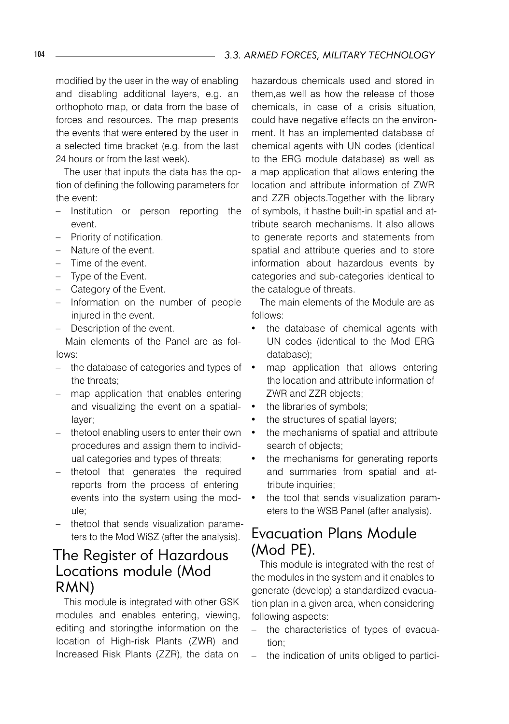modified by the user in the way of enabling and disabling additional layers, e.g. an orthophoto map, or data from the base of forces and resources. The map presents the events that were entered by the user in a selected time bracket (e.g. from the last 24 hours or from the last week).

The user that inputs the data has the option of defining the following parameters for the event:

- Institution or person reporting the event.
- Priority of notification.
- Nature of the event.
- Time of the event.
- Type of the Event.
- Category of the Event.
- Information on the number of people injured in the event.
- Description of the event.

Main elements of the Panel are as follows:

- the database of categories and types of the threats;
- map application that enables entering and visualizing the event on a spatiallayer;
- thetool enabling users to enter their own procedures and assign them to individual categories and types of threats;
- thetool that generates the required reports from the process of entering events into the system using the module;
- thetool that sends visualization parameters to the Mod WiSZ (after the analysis).

### The Register of Hazardous Locations module (Mod RMN)

This module is integrated with other GSK modules and enables entering, viewing, editing and storingthe information on the location of High-risk Plants (ZWR) and Increased Risk Plants (ZZR), the data on

hazardous chemicals used and stored in them,as well as how the release of those chemicals, in case of a crisis situation, could have negative effects on the environment. It has an implemented database of chemical agents with UN codes (identical to the ERG module database) as well as a map application that allows entering the location and attribute information of ZWR and ZZR objects.Together with the library of symbols, it hasthe built-in spatial and attribute search mechanisms. It also allows to generate reports and statements from spatial and attribute queries and to store information about hazardous events by categories and sub-categories identical to the catalogue of threats.

The main elements of the Module are as follows:

- the database of chemical agents with UN codes (identical to the Mod ERG database);
- map application that allows entering the location and attribute information of ZWR and ZZR objects;
- the libraries of symbols;
- the structures of spatial layers;
- the mechanisms of spatial and attribute search of objects;
- the mechanisms for generating reports and summaries from spatial and attribute inquiries;
- the tool that sends visualization parameters to the WSB Panel (after analysis).

# Evacuation Plans Module (Mod PE).

This module is integrated with the rest of the modules in the system and it enables to generate (develop) a standardized evacuation plan in a given area, when considering following aspects:

- the characteristics of types of evacuation;
- the indication of units obliged to partici-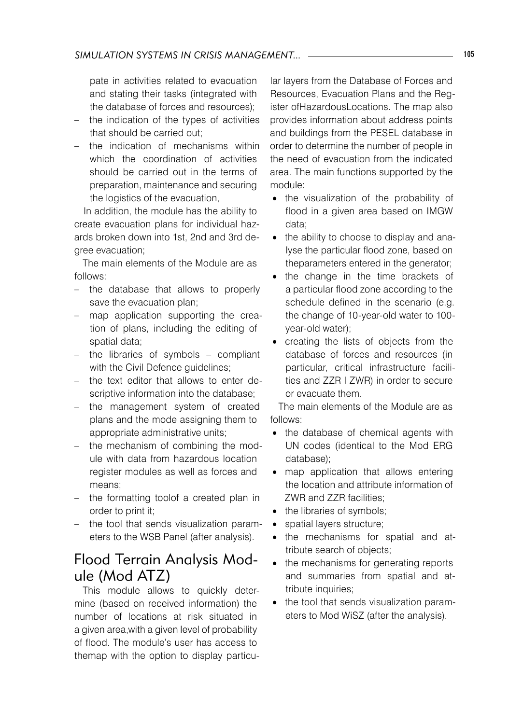pate in activities related to evacuation and stating their tasks (integrated with the database of forces and resources);

- the indication of the types of activities that should be carried out;
- the indication of mechanisms within which the coordination of activities should be carried out in the terms of preparation, maintenance and securing the logistics of the evacuation,

In addition, the module has the ability to create evacuation plans for individual hazards broken down into 1st, 2nd and 3rd degree evacuation;

The main elements of the Module are as follows:

- the database that allows to properly save the evacuation plan;
- map application supporting the creation of plans, including the editing of spatial data;
- the libraries of symbols compliant with the Civil Defence guidelines;
- the text editor that allows to enter descriptive information into the database:
- the management system of created plans and the mode assigning them to appropriate administrative units;
- the mechanism of combining the module with data from hazardous location register modules as well as forces and means;
- the formatting toolof a created plan in order to print it;
- the tool that sends visualization parameters to the WSB Panel (after analysis).

### Flood Terrain Analysis Module (Mod ATZ)

This module allows to quickly determine (based on received information) the number of locations at risk situated in a given area,with a given level of probability of flood. The module's user has access to themap with the option to display particular layers from the Database of Forces and Resources, Evacuation Plans and the Register ofHazardousLocations. The map also provides information about address points and buildings from the PESEL database in order to determine the number of people in the need of evacuation from the indicated area. The main functions supported by the module:

- the visualization of the probability of flood in a given area based on IMGW data;
- the ability to choose to display and analyse the particular flood zone, based on theparameters entered in the generator;
- the change in the time brackets of a particular flood zone according to the schedule defined in the scenario (e.g. the change of 10-year-old water to 100 year-old water);
- • creating the lists of objects from the database of forces and resources (in particular, critical infrastructure facilities and ZZR I ZWR) in order to secure or evacuate them.

The main elements of the Module are as follows:

- the database of chemical agents with UN codes (identical to the Mod ERG database);
- map application that allows entering the location and attribute information of ZWR and ZZR facilities;
- the libraries of symbols;
- spatial layers structure;
- the mechanisms for spatial and attribute search of objects;
- the mechanisms for generating reports and summaries from spatial and attribute inquiries;
- the tool that sends visualization parameters to Mod WiSZ (after the analysis).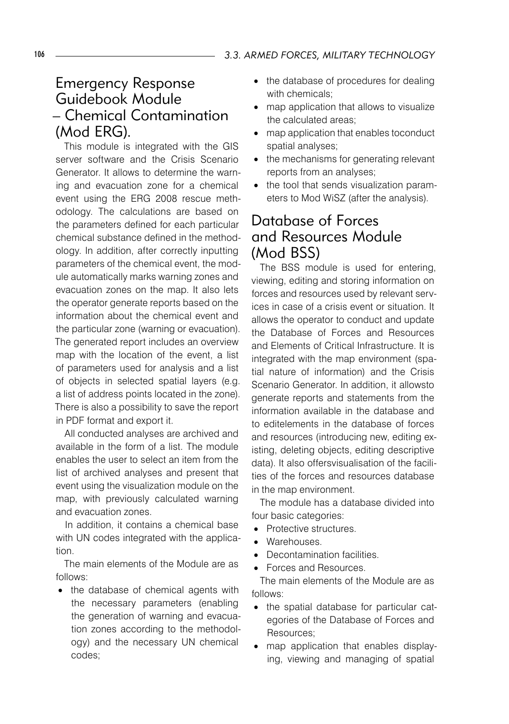# Emergency Response Guidebook Module – Chemical Contamination (Mod ERG).

This module is integrated with the GIS server software and the Crisis Scenario Generator. It allows to determine the warning and evacuation zone for a chemical event using the ERG 2008 rescue methodology. The calculations are based on the parameters defined for each particular chemical substance defined in the methodology. In addition, after correctly inputting parameters of the chemical event, the module automatically marks warning zones and evacuation zones on the map. It also lets the operator generate reports based on the information about the chemical event and the particular zone (warning or evacuation). The generated report includes an overview map with the location of the event, a list of parameters used for analysis and a list of objects in selected spatial layers (e.g. a list of address points located in the zone). There is also a possibility to save the report in PDF format and export it.

All conducted analyses are archived and available in the form of a list. The module enables the user to select an item from the list of archived analyses and present that event using the visualization module on the map, with previously calculated warning and evacuation zones.

In addition, it contains a chemical base with UN codes integrated with the application.

The main elements of the Module are as follows:

• the database of chemical agents with the necessary parameters (enabling the generation of warning and evacuation zones according to the methodology) and the necessary UN chemical codes;

- the database of procedures for dealing with chemicals;
- map application that allows to visualize the calculated areas;
- map application that enables toconduct spatial analyses;
- the mechanisms for generating relevant reports from an analyses;
- the tool that sends visualization parameters to Mod WiSZ (after the analysis).

# Database of Forces and Resources Module (Mod BSS)

The BSS module is used for entering, viewing, editing and storing information on forces and resources used by relevant services in case of a crisis event or situation. It allows the operator to conduct and update the Database of Forces and Resources and Elements of Critical Infrastructure. It is integrated with the map environment (spatial nature of information) and the Crisis Scenario Generator. In addition, it allowsto generate reports and statements from the information available in the database and to editelements in the database of forces and resources (introducing new, editing existing, deleting objects, editing descriptive data). It also offersvisualisation of the facilities of the forces and resources database in the map environment.

The module has a database divided into four basic categories:

- Protective structures.
- • Warehouses.
- Decontamination facilities.
- • Forces and Resources.

The main elements of the Module are as follows:

- the spatial database for particular categories of the Database of Forces and Resources;
- map application that enables displaying, viewing and managing of spatial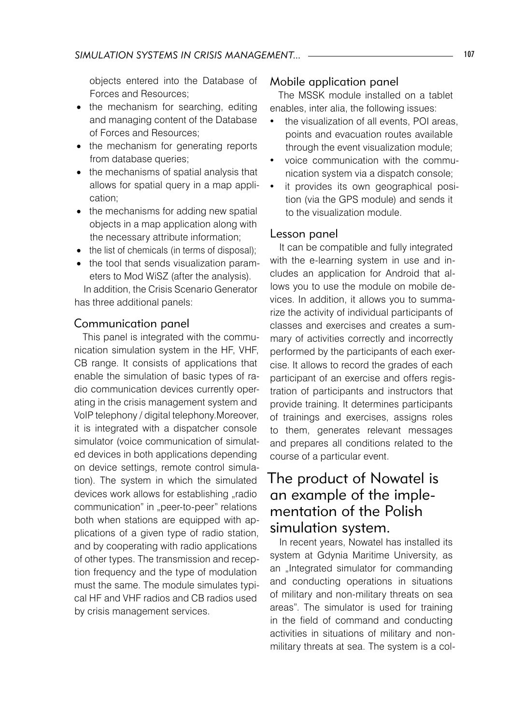objects entered into the Database of Forces and Resources;

- the mechanism for searching, editing and managing content of the Database of Forces and Resources;
- the mechanism for generating reports from database queries;
- the mechanisms of spatial analysis that allows for spatial query in a map application;
- the mechanisms for adding new spatial objects in a map application along with the necessary attribute information;
- the list of chemicals (in terms of disposal);
- the tool that sends visualization parameters to Mod WiSZ (after the analysis).

In addition, the Crisis Scenario Generator has three additional panels:

### Communication panel

This panel is integrated with the communication simulation system in the HF, VHF, CB range. It consists of applications that enable the simulation of basic types of radio communication devices currently operating in the crisis management system and VoIP telephony / digital telephony.Moreover, it is integrated with a dispatcher console simulator (voice communication of simulated devices in both applications depending on device settings, remote control simulation). The system in which the simulated devices work allows for establishing "radio communication" in "peer-to-peer" relations both when stations are equipped with applications of a given type of radio station, and by cooperating with radio applications of other types. The transmission and reception frequency and the type of modulation must the same. The module simulates typical HF and VHF radios and CB radios used by crisis management services.

### Mobile application panel

The MSSK module installed on a tablet enables, inter alia, the following issues:

- the visualization of all events, POI areas, points and evacuation routes available through the event visualization module;
- voice communication with the communication system via a dispatch console;
- it provides its own geographical position (via the GPS module) and sends it to the visualization module.

#### Lesson panel

It can be compatible and fully integrated with the e-learning system in use and includes an application for Android that allows you to use the module on mobile devices. In addition, it allows you to summarize the activity of individual participants of classes and exercises and creates a summary of activities correctly and incorrectly performed by the participants of each exercise. It allows to record the grades of each participant of an exercise and offers registration of participants and instructors that provide training. It determines participants of trainings and exercises, assigns roles to them, generates relevant messages and prepares all conditions related to the course of a particular event.

### The product of Nowatel is an example of the implementation of the Polish simulation system.

In recent years, Nowatel has installed its system at Gdynia Maritime University, as an "Integrated simulator for commanding and conducting operations in situations of military and non-military threats on sea areas". The simulator is used for training in the field of command and conducting activities in situations of military and nonmilitary threats at sea. The system is a col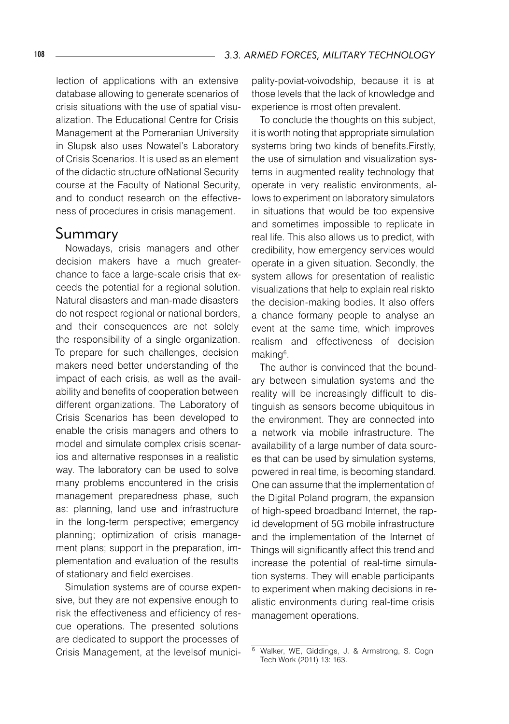lection of applications with an extensive database allowing to generate scenarios of crisis situations with the use of spatial visualization. The Educational Centre for Crisis Management at the Pomeranian University in Slupsk also uses Nowatel's Laboratory of Crisis Scenarios. It is used as an element of the didactic structure ofNational Security course at the Faculty of National Security, and to conduct research on the effectiveness of procedures in crisis management.

### Summary

Nowadays, crisis managers and other decision makers have a much greaterchance to face a large-scale crisis that exceeds the potential for a regional solution. Natural disasters and man-made disasters do not respect regional or national borders, and their consequences are not solely the responsibility of a single organization. To prepare for such challenges, decision makers need better understanding of the impact of each crisis, as well as the availability and benefits of cooperation between different organizations. The Laboratory of Crisis Scenarios has been developed to enable the crisis managers and others to model and simulate complex crisis scenarios and alternative responses in a realistic way. The laboratory can be used to solve many problems encountered in the crisis management preparedness phase, such as: planning, land use and infrastructure in the long-term perspective; emergency planning; optimization of crisis management plans; support in the preparation, implementation and evaluation of the results of stationary and field exercises.

Simulation systems are of course expensive, but they are not expensive enough to risk the effectiveness and efficiency of rescue operations. The presented solutions are dedicated to support the processes of Crisis Management, at the levelsof municipality-poviat-voivodship, because it is at those levels that the lack of knowledge and experience is most often prevalent.

To conclude the thoughts on this subject, it is worth noting that appropriate simulation systems bring two kinds of benefits.Firstly, the use of simulation and visualization systems in augmented reality technology that operate in very realistic environments, allows to experiment on laboratory simulators in situations that would be too expensive and sometimes impossible to replicate in real life. This also allows us to predict, with credibility, how emergency services would operate in a given situation. Secondly, the system allows for presentation of realistic visualizations that help to explain real riskto the decision-making bodies. It also offers a chance formany people to analyse an event at the same time, which improves realism and effectiveness of decision making<sup>6</sup>.

The author is convinced that the boundary between simulation systems and the reality will be increasingly difficult to distinguish as sensors become ubiquitous in the environment. They are connected into a network via mobile infrastructure. The availability of a large number of data sources that can be used by simulation systems, powered in real time, is becoming standard. One can assume that the implementation of the Digital Poland program, the expansion of high-speed broadband Internet, the rapid development of 5G mobile infrastructure and the implementation of the Internet of Things will significantly affect this trend and increase the potential of real-time simulation systems. They will enable participants to experiment when making decisions in realistic environments during real-time crisis management operations.

Walker, WE, Giddings, J. & Armstrong, S. Cogn Tech Work (2011) 13: 163.